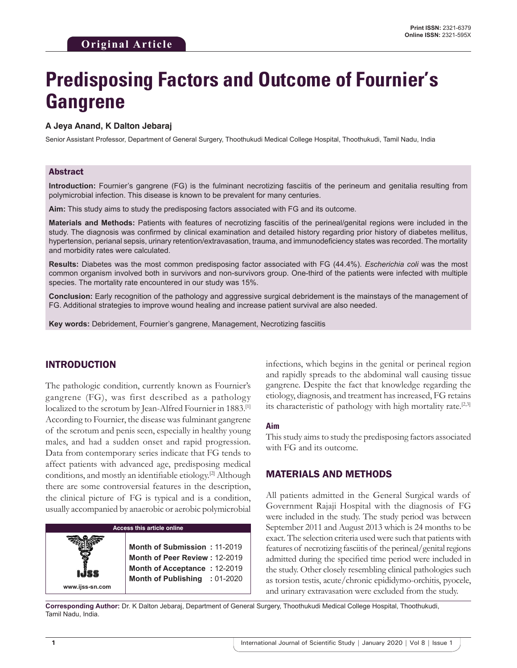# **Predisposing Factors and Outcome of Fournier's Gangrene**

#### **A Jeya Anand, K Dalton Jebaraj**

Senior Assistant Professor, Department of General Surgery, Thoothukudi Medical College Hospital, Thoothukudi, Tamil Nadu, India

## Abstract

**Introduction:** Fournier's gangrene (FG) is the fulminant necrotizing fasciitis of the perineum and genitalia resulting from polymicrobial infection. This disease is known to be prevalent for many centuries.

**Aim:** This study aims to study the predisposing factors associated with FG and its outcome.

**Materials and Methods:** Patients with features of necrotizing fasciitis of the perineal/genital regions were included in the study. The diagnosis was confirmed by clinical examination and detailed history regarding prior history of diabetes mellitus, hypertension, perianal sepsis, urinary retention/extravasation, trauma, and immunodeficiency states was recorded. The mortality and morbidity rates were calculated.

**Results:** Diabetes was the most common predisposing factor associated with FG (44.4%). *Escherichia coli* was the most common organism involved both in survivors and non-survivors group. One-third of the patients were infected with multiple species. The mortality rate encountered in our study was 15%.

**Conclusion:** Early recognition of the pathology and aggressive surgical debridement is the mainstays of the management of FG. Additional strategies to improve wound healing and increase patient survival are also needed.

**Key words:** Debridement, Fournier's gangrene, Management, Necrotizing fasciitis

# INTRODUCTION

The pathologic condition, currently known as Fournier's gangrene (FG), was first described as a pathology localized to the scrotum by Jean-Alfred Fournier in 1883.<sup>[1]</sup> According to Fournier, the disease was fulminant gangrene of the scrotum and penis seen, especially in healthy young males, and had a sudden onset and rapid progression. Data from contemporary series indicate that FG tends to affect patients with advanced age, predisposing medical conditions, and mostly an identifiable etiology.[2] Although there are some controversial features in the description, the clinical picture of FG is typical and is a condition, usually accompanied by anaerobic or aerobic polymicrobial



infections, which begins in the genital or perineal region and rapidly spreads to the abdominal wall causing tissue gangrene. Despite the fact that knowledge regarding the etiology, diagnosis, and treatment has increased, FG retains its characteristic of pathology with high mortality rate.<sup>[2,3]</sup>

#### **Aim**

This study aims to study the predisposing factors associated with FG and its outcome.

### MATERIALS AND METHODS

All patients admitted in the General Surgical wards of Government Rajaji Hospital with the diagnosis of FG were included in the study. The study period was between September 2011 and August 2013 which is 24 months to be exact. The selection criteria used were such that patients with features of necrotizing fasciitis of the perineal/genital regions admitted during the specified time period were included in the study. Other closely resembling clinical pathologies such as torsion testis, acute/chronic epididymo-orchitis, pyocele, and urinary extravasation were excluded from the study.

**Corresponding Author:** Dr. K Dalton Jebaraj, Department of General Surgery, Thoothukudi Medical College Hospital, Thoothukudi, Tamil Nadu, India.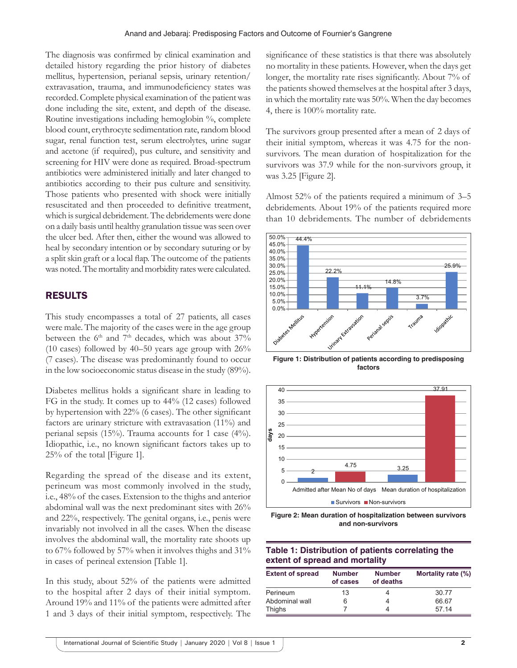The diagnosis was confirmed by clinical examination and detailed history regarding the prior history of diabetes mellitus, hypertension, perianal sepsis, urinary retention/ extravasation, trauma, and immunodeficiency states was recorded. Complete physical examination of the patient was done including the site, extent, and depth of the disease. Routine investigations including hemoglobin %, complete blood count, erythrocyte sedimentation rate, random blood sugar, renal function test, serum electrolytes, urine sugar and acetone (if required), pus culture, and sensitivity and screening for HIV were done as required. Broad-spectrum antibiotics were administered initially and later changed to antibiotics according to their pus culture and sensitivity. Those patients who presented with shock were initially resuscitated and then proceeded to definitive treatment, which is surgical debridement. The debridements were done on a daily basis until healthy granulation tissue was seen over the ulcer bed. After then, either the wound was allowed to heal by secondary intention or by secondary suturing or by a split skin graft or a local flap. The outcome of the patients was noted. The mortality and morbidity rates were calculated.

# RESULTS

This study encompasses a total of 27 patients, all cases were male. The majority of the cases were in the age group between the  $6<sup>th</sup>$  and  $7<sup>th</sup>$  decades, which was about  $37\%$ (10 cases) followed by  $40-50$  years age group with  $26\%$ (7 cases). The disease was predominantly found to occur in the low socioeconomic status disease in the study (89%).

Diabetes mellitus holds a significant share in leading to FG in the study. It comes up to 44% (12 cases) followed by hypertension with 22% (6 cases). The other significant factors are urinary stricture with extravasation (11%) and perianal sepsis (15%). Trauma accounts for 1 case (4%). Idiopathic, i.e., no known significant factors takes up to 25% of the total [Figure 1].

Regarding the spread of the disease and its extent, perineum was most commonly involved in the study, i.e., 48% of the cases. Extension to the thighs and anterior abdominal wall was the next predominant sites with 26% and 22%, respectively. The genital organs, i.e., penis were invariably not involved in all the cases. When the disease involves the abdominal wall, the mortality rate shoots up to 67% followed by 57% when it involves thighs and 31% in cases of perineal extension [Table 1].

In this study, about 52% of the patients were admitted to the hospital after 2 days of their initial symptom. Around 19% and 11% of the patients were admitted after 1 and 3 days of their initial symptom, respectively. The significance of these statistics is that there was absolutely no mortality in these patients. However, when the days get longer, the mortality rate rises significantly. About 7% of the patients showed themselves at the hospital after 3 days, in which the mortality rate was 50%. When the day becomes 4, there is 100% mortality rate.

The survivors group presented after a mean of 2 days of their initial symptom, whereas it was 4.75 for the nonsurvivors. The mean duration of hospitalization for the survivors was 37.9 while for the non-survivors group, it was 3.25 [Figure 2].

Almost 52% of the patients required a minimum of 3–5 debridements. About 19% of the patients required more than 10 debridements. The number of debridements



**Figure 1: Distribution of patients according to predisposing factors**





# **Table 1: Distribution of patients correlating the extent of spread and mortality**

| <b>Extent of spread</b> | <b>Number</b><br>of cases | <b>Number</b><br>of deaths | Mortality rate (%) |
|-------------------------|---------------------------|----------------------------|--------------------|
| Perineum                | 13                        |                            | 30.77              |
| Abdominal wall          | 6                         |                            | 66.67              |
| Thighs                  |                           |                            | 57.14              |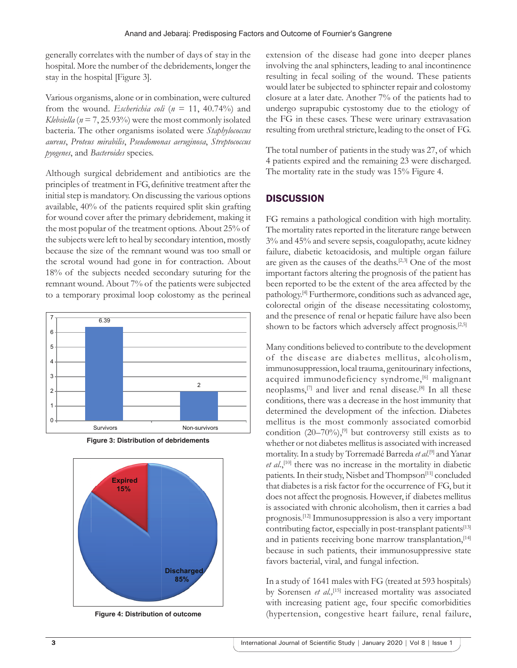generally correlates with the number of days of stay in the hospital. More the number of the debridements, longer the stay in the hospital [Figure 3].

Various organisms, alone or in combination, were cultured from the wound. *Escherichia coli* ( $n = 11$ , 40.74%) and *Klebsiella* ( $n = 7, 25.93\%$ ) were the most commonly isolated bacteria. The other organisms isolated were *Staphylococcus aureus*, *Proteus mirabilis*, *Pseudomonas aeruginosa*, *Streptococcus pyogenes*, and *Bacteroides* species.

Although surgical debridement and antibiotics are the principles of treatment in FG, definitive treatment after the initial step is mandatory. On discussing the various options available, 40% of the patients required split skin grafting for wound cover after the primary debridement, making it the most popular of the treatment options. About 25% of the subjects were left to heal by secondary intention, mostly because the size of the remnant wound was too small or the scrotal wound had gone in for contraction. About 18% of the subjects needed secondary suturing for the remnant wound. About 7% of the patients were subjected to a temporary proximal loop colostomy as the perineal



**Figure 3: Distribution of debridements**



**Figure 4: Distribution of outcome**

extension of the disease had gone into deeper planes involving the anal sphincters, leading to anal incontinence resulting in fecal soiling of the wound. These patients would later be subjected to sphincter repair and colostomy closure at a later date. Another 7% of the patients had to undergo suprapubic cystostomy due to the etiology of the FG in these cases. These were urinary extravasation resulting from urethral stricture, leading to the onset of FG.

The total number of patients in the study was 27, of which 4 patients expired and the remaining 23 were discharged. The mortality rate in the study was 15% Figure 4.

# **DISCUSSION**

FG remains a pathological condition with high mortality. The mortality rates reported in the literature range between 3% and 45% and severe sepsis, coagulopathy, acute kidney failure, diabetic ketoacidosis, and multiple organ failure are given as the causes of the deaths.[2,3] One of the most important factors altering the prognosis of the patient has been reported to be the extent of the area affected by the pathology.[4] Furthermore, conditions such as advanced age, colorectal origin of the disease necessitating colostomy, and the presence of renal or hepatic failure have also been shown to be factors which adversely affect prognosis.<sup>[2,5]</sup>

Many conditions believed to contribute to the development of the disease are diabetes mellitus, alcoholism, immunosuppression, local trauma, genitourinary infections, acquired immunodeficiency syndrome,<sup>[6]</sup> malignant neoplasms,[7] and liver and renal disease.[8] In all these conditions, there was a decrease in the host immunity that determined the development of the infection. Diabetes mellitus is the most commonly associated comorbid condition  $(20-70\%)$ , <sup>[9]</sup> but controversy still exists as to whether or not diabetes mellitus is associated with increased mortality. In a study by Torremadé Barreda *et al*. [9] and Yanar *et al*.,[10] there was no increase in the mortality in diabetic patients. In their study, Nisbet and Thompson<sup>[11]</sup> concluded that diabetes is a risk factor for the occurrence of FG, but it does not affect the prognosis. However, if diabetes mellitus is associated with chronic alcoholism, then it carries a bad prognosis.[12] Immunosuppression is also a very important contributing factor, especially in post-transplant patients<sup>[13]</sup> and in patients receiving bone marrow transplantation,<sup>[14]</sup> because in such patients, their immunosuppressive state favors bacterial, viral, and fungal infection.

In a study of 1641 males with FG (treated at 593 hospitals) by Sorensen *et al.*,<sup>[15]</sup> increased mortality was associated with increasing patient age, four specific comorbidities (hypertension, congestive heart failure, renal failure,